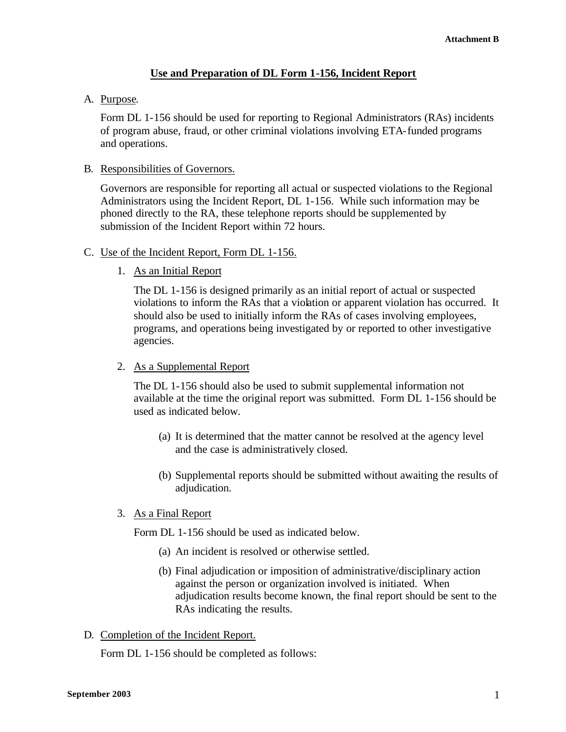# **Use and Preparation of DL Form 1-156, Incident Report**

# A. Purpose.

Form DL 1-156 should be used for reporting to Regional Administrators (RAs) incidents of program abuse, fraud, or other criminal violations involving ETA-funded programs and operations.

### B. Responsibilities of Governors.

Governors are responsible for reporting all actual or suspected violations to the Regional Administrators using the Incident Report, DL 1-156. While such information may be phoned directly to the RA, these telephone reports should be supplemented by submission of the Incident Report within 72 hours.

## C. Use of the Incident Report, Form DL 1-156.

## 1. As an Initial Report

The DL 1-156 is designed primarily as an initial report of actual or suspected violations to inform the RAs that a violation or apparent violation has occurred. It should also be used to initially inform the RAs of cases involving employees, programs, and operations being investigated by or reported to other investigative agencies.

### 2. As a Supplemental Report

The DL 1-156 should also be used to submit supplemental information not available at the time the original report was submitted. Form DL 1-156 should be used as indicated below.

- (a) It is determined that the matter cannot be resolved at the agency level and the case is administratively closed.
- (b) Supplemental reports should be submitted without awaiting the results of adjudication.

#### 3. As a Final Report

Form DL 1-156 should be used as indicated below.

- (a) An incident is resolved or otherwise settled.
- (b) Final adjudication or imposition of administrative/disciplinary action against the person or organization involved is initiated. When adjudication results become known, the final report should be sent to the RAs indicating the results.
- D. Completion of the Incident Report.

Form DL 1-156 should be completed as follows: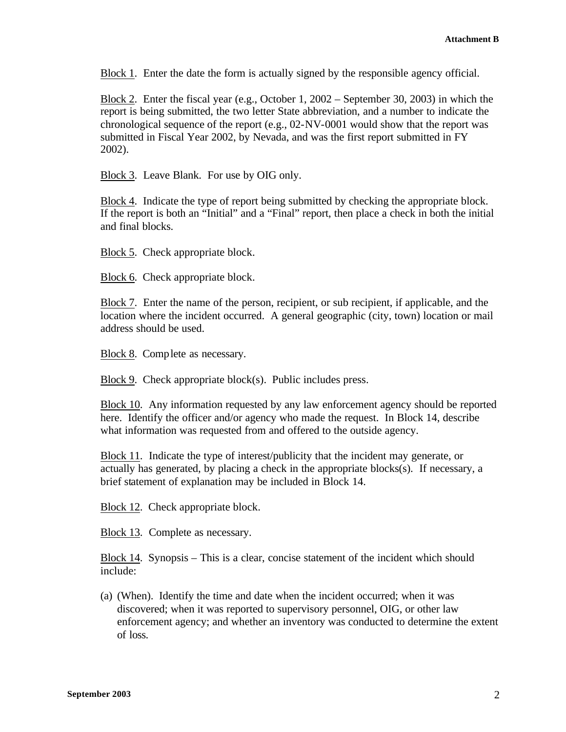Block 1. Enter the date the form is actually signed by the responsible agency official.

Block 2. Enter the fiscal year (e.g., October 1, 2002 – September 30, 2003) in which the report is being submitted, the two letter State abbreviation, and a number to indicate the chronological sequence of the report (e.g., 02-NV-0001 would show that the report was submitted in Fiscal Year 2002, by Nevada, and was the first report submitted in FY 2002).

Block 3. Leave Blank. For use by OIG only.

Block 4. Indicate the type of report being submitted by checking the appropriate block. If the report is both an "Initial" and a "Final" report, then place a check in both the initial and final blocks.

Block 5. Check appropriate block.

Block 6. Check appropriate block.

Block 7. Enter the name of the person, recipient, or sub recipient, if applicable, and the location where the incident occurred. A general geographic (city, town) location or mail address should be used.

Block 8. Complete as necessary.

Block 9. Check appropriate block(s). Public includes press.

Block 10. Any information requested by any law enforcement agency should be reported here. Identify the officer and/or agency who made the request. In Block 14, describe what information was requested from and offered to the outside agency.

Block 11. Indicate the type of interest/publicity that the incident may generate, or actually has generated, by placing a check in the appropriate blocks(s). If necessary, a brief statement of explanation may be included in Block 14.

Block 12. Check appropriate block.

Block 13. Complete as necessary.

Block 14. Synopsis – This is a clear, concise statement of the incident which should include:

(a) (When). Identify the time and date when the incident occurred; when it was discovered; when it was reported to supervisory personnel, OIG, or other law enforcement agency; and whether an inventory was conducted to determine the extent of loss.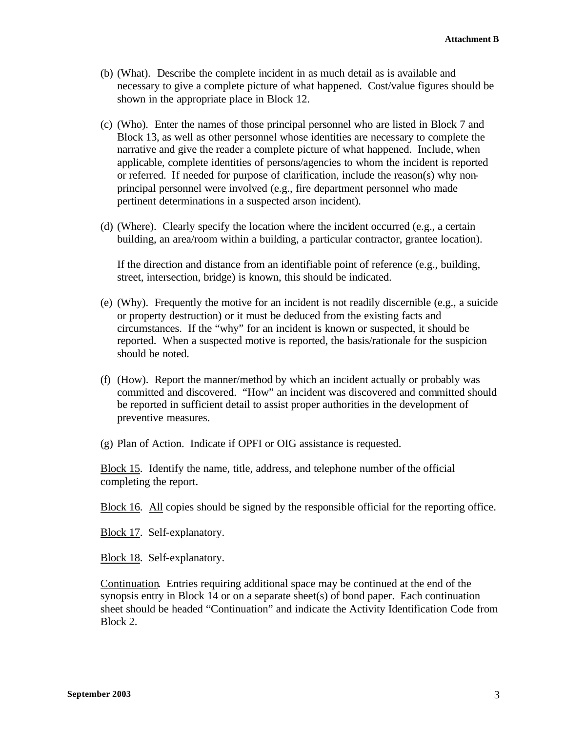- (b) (What). Describe the complete incident in as much detail as is available and necessary to give a complete picture of what happened. Cost/value figures should be shown in the appropriate place in Block 12.
- (c) (Who). Enter the names of those principal personnel who are listed in Block 7 and Block 13, as well as other personnel whose identities are necessary to complete the narrative and give the reader a complete picture of what happened. Include, when applicable, complete identities of persons/agencies to whom the incident is reported or referred. If needed for purpose of clarification, include the reason(s) why nonprincipal personnel were involved (e.g., fire department personnel who made pertinent determinations in a suspected arson incident).
- (d) (Where). Clearly specify the location where the incident occurred (e.g., a certain building, an area/room within a building, a particular contractor, grantee location).

If the direction and distance from an identifiable point of reference (e.g., building, street, intersection, bridge) is known, this should be indicated.

- (e) (Why). Frequently the motive for an incident is not readily discernible (e.g., a suicide or property destruction) or it must be deduced from the existing facts and circumstances. If the "why" for an incident is known or suspected, it should be reported. When a suspected motive is reported, the basis/rationale for the suspicion should be noted.
- (f) (How). Report the manner/method by which an incident actually or probably was committed and discovered. "How" an incident was discovered and committed should be reported in sufficient detail to assist proper authorities in the development of preventive measures.

(g) Plan of Action. Indicate if OPFI or OIG assistance is requested.

Block 15. Identify the name, title, address, and telephone number of the official completing the report.

Block 16. All copies should be signed by the responsible official for the reporting office.

Block 17. Self-explanatory.

Block 18. Self-explanatory.

Continuation. Entries requiring additional space may be continued at the end of the synopsis entry in Block 14 or on a separate sheet(s) of bond paper. Each continuation sheet should be headed "Continuation" and indicate the Activity Identification Code from Block 2.